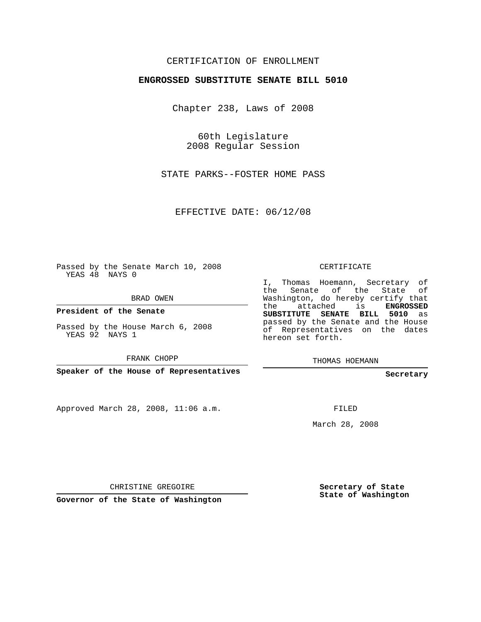### CERTIFICATION OF ENROLLMENT

#### **ENGROSSED SUBSTITUTE SENATE BILL 5010**

Chapter 238, Laws of 2008

60th Legislature 2008 Regular Session

STATE PARKS--FOSTER HOME PASS

EFFECTIVE DATE: 06/12/08

Passed by the Senate March 10, 2008 YEAS 48 NAYS 0

BRAD OWEN

**President of the Senate**

Passed by the House March 6, 2008 YEAS 92 NAYS 1

FRANK CHOPP

**Speaker of the House of Representatives**

Approved March 28, 2008, 11:06 a.m.

CERTIFICATE

I, Thomas Hoemann, Secretary of the Senate of the State of Washington, do hereby certify that the attached is **ENGROSSED SUBSTITUTE SENATE BILL 5010** as passed by the Senate and the House of Representatives on the dates hereon set forth.

THOMAS HOEMANN

**Secretary**

FILED

March 28, 2008

CHRISTINE GREGOIRE

**Governor of the State of Washington**

**Secretary of State State of Washington**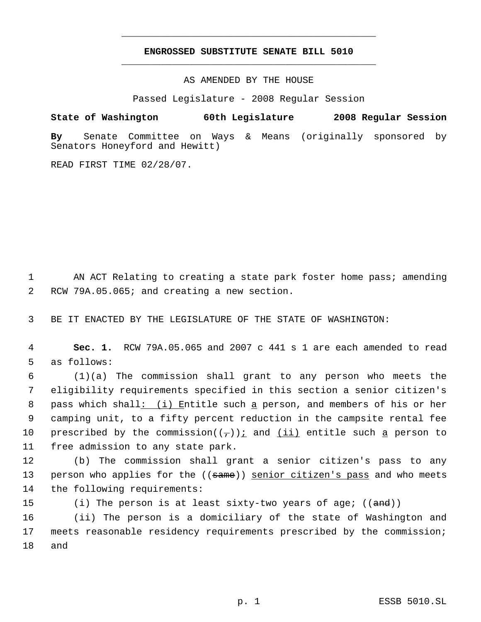## **ENGROSSED SUBSTITUTE SENATE BILL 5010** \_\_\_\_\_\_\_\_\_\_\_\_\_\_\_\_\_\_\_\_\_\_\_\_\_\_\_\_\_\_\_\_\_\_\_\_\_\_\_\_\_\_\_\_\_

\_\_\_\_\_\_\_\_\_\_\_\_\_\_\_\_\_\_\_\_\_\_\_\_\_\_\_\_\_\_\_\_\_\_\_\_\_\_\_\_\_\_\_\_\_

AS AMENDED BY THE HOUSE

Passed Legislature - 2008 Regular Session

#### **State of Washington 60th Legislature 2008 Regular Session**

**By** Senate Committee on Ways & Means (originally sponsored by Senators Honeyford and Hewitt)

READ FIRST TIME 02/28/07.

1 AN ACT Relating to creating a state park foster home pass; amending 2 RCW 79A.05.065; and creating a new section.

3 BE IT ENACTED BY THE LEGISLATURE OF THE STATE OF WASHINGTON:

 4 **Sec. 1.** RCW 79A.05.065 and 2007 c 441 s 1 are each amended to read 5 as follows:

 (1)(a) The commission shall grant to any person who meets the eligibility requirements specified in this section a senior citizen's 8 pass which shall: (i) Entitle such a person, and members of his or her camping unit, to a fifty percent reduction in the campsite rental fee 10 prescribed by the commission( $(\tau)$ ) i and  $(ii)$  entitle such a person to free admission to any state park.

12 (b) The commission shall grant a senior citizen's pass to any 13 person who applies for the ((same)) senior citizen's pass and who meets 14 the following requirements:

15 (i) The person is at least sixty-two years of age; ((<del>and</del>))

16 (ii) The person is a domiciliary of the state of Washington and 17 meets reasonable residency requirements prescribed by the commission; 18 and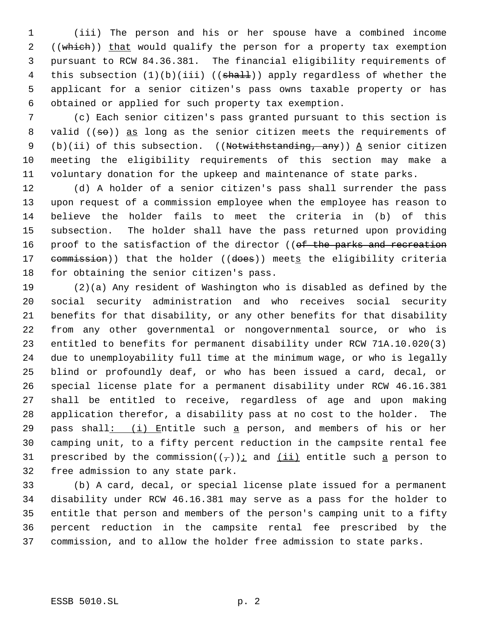(iii) The person and his or her spouse have a combined income 2 ((which)) that would qualify the person for a property tax exemption pursuant to RCW 84.36.381. The financial eligibility requirements of 4 this subsection  $(1)(b)(iii)$  (( $shall$ )) apply regardless of whether the applicant for a senior citizen's pass owns taxable property or has obtained or applied for such property tax exemption.

 (c) Each senior citizen's pass granted pursuant to this section is 8 valid (( $\Rightarrow$ )) as long as the senior citizen meets the requirements of 9 (b)(ii) of this subsection. ((Notwithstanding, any))  $\underline{A}$  senior citizen meeting the eligibility requirements of this section may make a voluntary donation for the upkeep and maintenance of state parks.

 (d) A holder of a senior citizen's pass shall surrender the pass upon request of a commission employee when the employee has reason to believe the holder fails to meet the criteria in (b) of this subsection. The holder shall have the pass returned upon providing 16 proof to the satisfaction of the director ((of the parks and recreation 17 commission)) that the holder ((does)) meets the eligibility criteria for obtaining the senior citizen's pass.

 (2)(a) Any resident of Washington who is disabled as defined by the social security administration and who receives social security benefits for that disability, or any other benefits for that disability from any other governmental or nongovernmental source, or who is entitled to benefits for permanent disability under RCW 71A.10.020(3) due to unemployability full time at the minimum wage, or who is legally blind or profoundly deaf, or who has been issued a card, decal, or special license plate for a permanent disability under RCW 46.16.381 shall be entitled to receive, regardless of age and upon making application therefor, a disability pass at no cost to the holder. The 29 pass shall:  $(i)$  Entitle such a person, and members of his or her camping unit, to a fifty percent reduction in the campsite rental fee 31 prescribed by the commission( $(\tau)$ ) i and  $(ii)$  entitle such a person to free admission to any state park.

 (b) A card, decal, or special license plate issued for a permanent disability under RCW 46.16.381 may serve as a pass for the holder to entitle that person and members of the person's camping unit to a fifty percent reduction in the campsite rental fee prescribed by the commission, and to allow the holder free admission to state parks.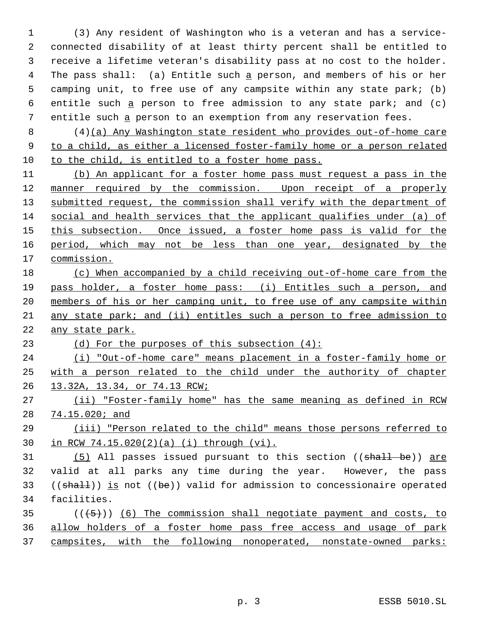(3) Any resident of Washington who is a veteran and has a service- connected disability of at least thirty percent shall be entitled to receive a lifetime veteran's disability pass at no cost to the holder. 4 The pass shall: (a) Entitle such a person, and members of his or her camping unit, to free use of any campsite within any state park; (b) 6 entitle such  $a$  person to free admission to any state park; and (c) entitle such a person to an exemption from any reservation fees.

 (4)(a) Any Washington state resident who provides out-of-home care to a child, as either a licensed foster-family home or a person related to the child, is entitled to a foster home pass.

 (b) An applicant for a foster home pass must request a pass in the manner required by the commission. Upon receipt of a properly 13 submitted request, the commission shall verify with the department of social and health services that the applicant qualifies under (a) of 15 this subsection. Once issued, a foster home pass is valid for the 16 period, which may not be less than one year, designated by the commission.

 (c) When accompanied by a child receiving out-of-home care from the pass holder, a foster home pass: (i) Entitles such a person, and members of his or her camping unit, to free use of any campsite within any state park; and (ii) entitles such a person to free admission to any state park.

(d) For the purposes of this subsection (4):

 (i) "Out-of-home care" means placement in a foster-family home or with a person related to the child under the authority of chapter 13.32A, 13.34, or 74.13 RCW;

 (ii) "Foster-family home" has the same meaning as defined in RCW 74.15.020; and

 (iii) "Person related to the child" means those persons referred to in RCW 74.15.020(2)(a) (i) through (vi).

31 (5) All passes issued pursuant to this section ((shall be)) are valid at all parks any time during the year. However, the pass 33 (( $shall$ )) is not (( $be$ )) valid for admission to concessionaire operated facilities.

 ( $(\overline{5})$ ) (6) The commission shall negotiate payment and costs, to allow holders of a foster home pass free access and usage of park campsites, with the following nonoperated, nonstate-owned parks: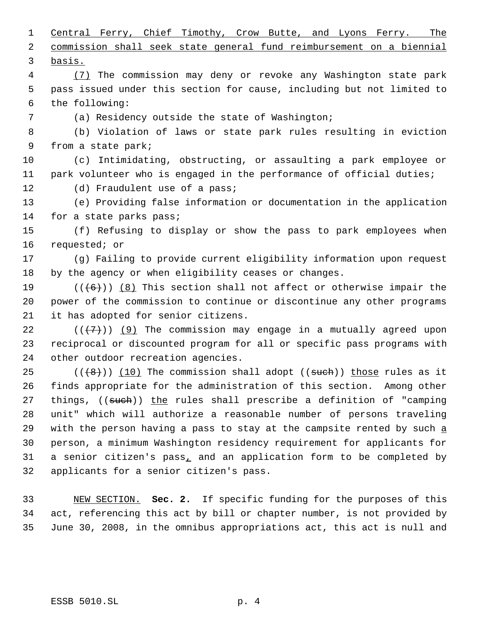Central Ferry, Chief Timothy, Crow Butte, and Lyons Ferry. The commission shall seek state general fund reimbursement on a biennial basis. (7) The commission may deny or revoke any Washington state park pass issued under this section for cause, including but not limited to

the following:

(a) Residency outside the state of Washington;

 (b) Violation of laws or state park rules resulting in eviction from a state park;

 (c) Intimidating, obstructing, or assaulting a park employee or park volunteer who is engaged in the performance of official duties;

12 (d) Fraudulent use of a pass;

 (e) Providing false information or documentation in the application for a state parks pass;

 (f) Refusing to display or show the pass to park employees when requested; or

 (g) Failing to provide current eligibility information upon request by the agency or when eligibility ceases or changes.

19  $((+6))$   $(8)$  This section shall not affect or otherwise impair the power of the commission to continue or discontinue any other programs it has adopted for senior citizens.

22  $((+7))$  (9) The commission may engage in a mutually agreed upon reciprocal or discounted program for all or specific pass programs with other outdoor recreation agencies.

 $((+8))$   $(10)$  The commission shall adopt  $(($such")$  those rules as it finds appropriate for the administration of this section. Among other 27 things, ((such)) the rules shall prescribe a definition of "camping unit" which will authorize a reasonable number of persons traveling 29 with the person having a pass to stay at the campsite rented by such  $\underline{a}$  person, a minimum Washington residency requirement for applicants for a senior citizen's pass, and an application form to be completed by applicants for a senior citizen's pass.

 NEW SECTION. **Sec. 2.** If specific funding for the purposes of this act, referencing this act by bill or chapter number, is not provided by June 30, 2008, in the omnibus appropriations act, this act is null and